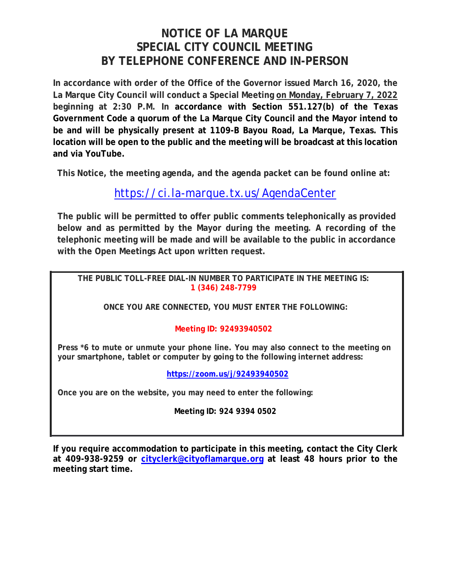# **NOTICE OF LA MARQUE SPECIAL CITY COUNCIL MEETING BY TELEPHONE CONFERENCE AND IN-PERSON**

**In accordance with order of the Office of the Governor issued March 16, 2020, the La Marque City Council will conduct a Special Meeting on Monday, February 7, 2022 beginning at 2:30 P.M. In accordance with Section 551.127(b) of the Texas Government Code a quorum of the La Marque City Council and the Mayor intend to be and will be physically present at 1109-B Bayou Road, La Marque, Texas. This location will be open to the public and the meeting will be broadcast at this location and via YouTube.** 

**This Notice, the meeting agenda, and the agenda packet can be found online at:**

## https://ci.la-marque.tx.us/AgendaCenter

**The public will be permitted to offer public comments telephonically as provided below and as permitted by the Mayor during the meeting. A recording of the telephonic meeting will be made and will be available to the public in accordance with the Open Meetings Act upon written request.**

**THE PUBLIC TOLL-FREE DIAL-IN NUMBER TO PARTICIPATE IN THE MEETING IS: 1 (346) 248-7799** 

**ONCE YOU ARE CONNECTED, YOU MUST ENTER THE FOLLOWING:** 

### **Meeting ID: 92493940502**

**Press \*6 to mute or unmute your phone line. You may also connect to the meeting on your smartphone, tablet or computer by going to the following internet address:**

**https://zoom.us/j/92493940502**

**Once you are on the website, you may need to enter the following:** 

**Meeting ID: 924 9394 0502** 

**If you require accommodation to participate in this meeting, contact the City Clerk at 409-938-9259 or cityclerk@cityoflamarque.org at least 48 hours prior to the meeting start time.**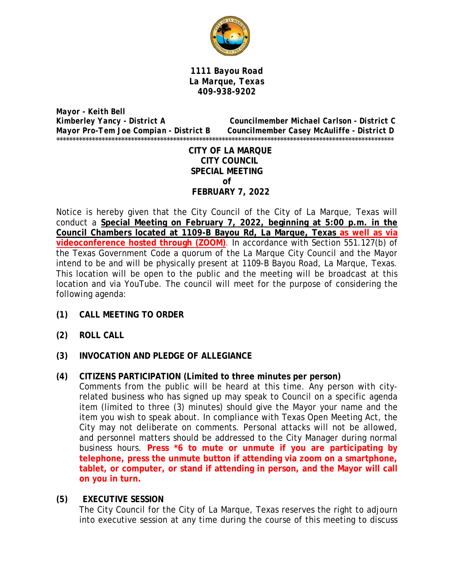

*1111 Bayou Road La Marque, Texas 409-938-9202* 

*Mayor - Keith Bell Kimberley Yancy - District A Councilmember Michael Carlson - District C Mayor Pro-Tem Joe Compian - District B Councilmember Casey McAuliffe - District D*  \*\*\*\*\*\*\*\*\*\*\*\*\*\*\*\*\*\*\*\*\*\*\*\*\*\*\*\*\*\*\*\*\*\*\*\*\*\*\*\*\*\*\*\*\*\*\*\*\*\*\*\*\*\*\*\*\*\*\*\*\*\*\*\*\*\*\*\*\*\*\*\*\*\*\*\*\*\*\*\*\*\*\*\*\*\*\*\*\*\*\*\*\*\*\*\*\*\*\*\*\*\*\*\*

> **CITY OF LA MARQUE CITY COUNCIL SPECIAL MEETING of FEBRUARY 7, 2022**

Notice is hereby given that the City Council of the City of La Marque, Texas will conduct a **Special Meeting on February 7, 2022, beginning at 5:00 p.m. in the Council Chambers located at 1109-B Bayou Rd, La Marque, Texas as well as via videoconference hosted through (ZOOM)**. In accordance with Section 551.127(b) of the Texas Government Code a quorum of the La Marque City Council and the Mayor intend to be and will be physically present at 1109-B Bayou Road, La Marque, Texas. This location will be open to the public and the meeting will be broadcast at this location and via YouTube. The council will meet for the purpose of considering the following agenda:

- **(1) CALL MEETING TO ORDER**
- **(2) ROLL CALL**
- **(3) INVOCATION AND PLEDGE OF ALLEGIANCE**
- **(4) CITIZENS PARTICIPATION (Limited to three minutes per person)**  Comments from the public will be heard at this time. Any person with cityrelated business who has signed up may speak to Council on a specific agenda item (limited to three (3) minutes) should give the Mayor your name and the item you wish to speak about. In compliance with Texas Open Meeting Act, the City may not deliberate on comments. Personal attacks will not be allowed, and personnel matters should be addressed to the City Manager during normal business hours. **Press \*6 to mute or unmute if you are participating by telephone, press the unmute button if attending via zoom on a smartphone, tablet, or computer, or stand if attending in person, and the Mayor will call on you in turn.**

#### **(5) EXECUTIVE SESSION**

The City Council for the City of La Marque, Texas reserves the right to adjourn into executive session at any time during the course of this meeting to discuss